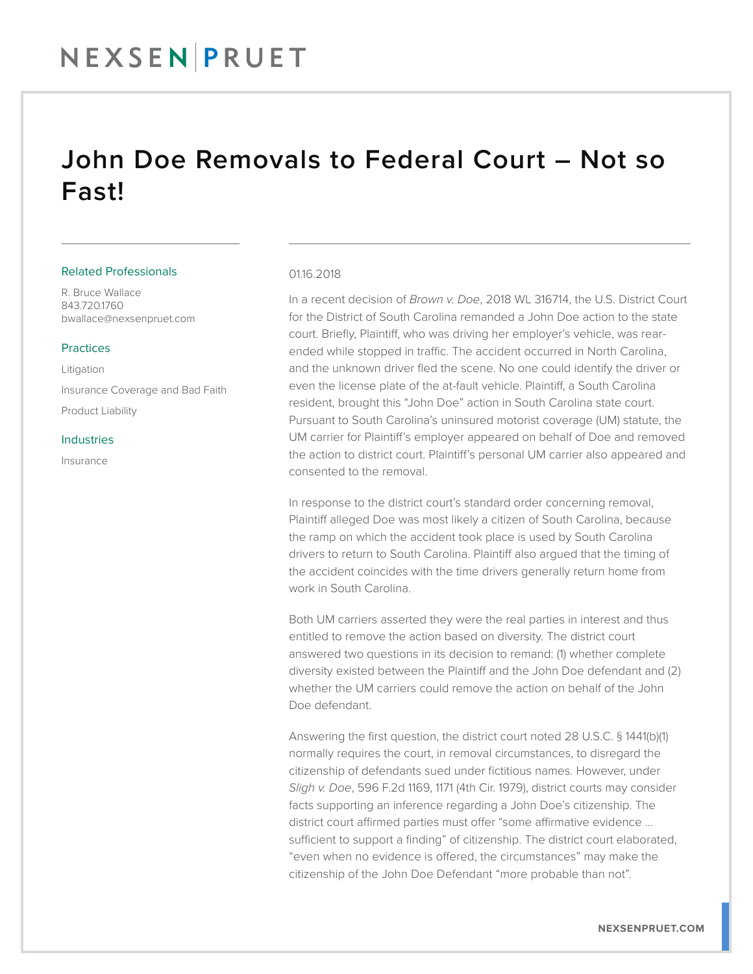## NEXSEN PRUET

### John Doe Removals to Federal Court – Not so Fast!

#### Related Professionals

R. Bruce Wallace 843.720.1760 bwallace@nexsenpruet.com

#### Practices

Litigation Insurance Coverage and Bad Faith Product Liability

#### Industries

Insurance

#### 01.16.2018

In a recent decision of *Brown v. Doe*, 2018 WL 316714, the U.S. District Court for the District of South Carolina remanded a John Doe action to the state court. Briefly, Plaintiff, who was driving her employer's vehicle, was rearended while stopped in traffic. The accident occurred in North Carolina, and the unknown driver fled the scene. No one could identify the driver or even the license plate of the at-fault vehicle. Plaintiff, a South Carolina resident, brought this "John Doe" action in South Carolina state court. Pursuant to South Carolina's uninsured motorist coverage (UM) statute, the UM carrier for Plaintiff's employer appeared on behalf of Doe and removed the action to district court. Plaintiff's personal UM carrier also appeared and consented to the removal.

In response to the district court's standard order concerning removal, Plaintiff alleged Doe was most likely a citizen of South Carolina, because the ramp on which the accident took place is used by South Carolina drivers to return to South Carolina. Plaintiff also argued that the timing of the accident coincides with the time drivers generally return home from work in South Carolina.

Both UM carriers asserted they were the real parties in interest and thus entitled to remove the action based on diversity. The district court answered two questions in its decision to remand: (1) whether complete diversity existed between the Plaintiff and the John Doe defendant and (2) whether the UM carriers could remove the action on behalf of the John Doe defendant.

Answering the first question, the district court noted 28 U.S.C. § 1441(b)(1) normally requires the court, in removal circumstances, to disregard the citizenship of defendants sued under fictitious names. However, under *Sligh v. Doe*, 596 F.2d 1169, 1171 (4th Cir. 1979), district courts may consider facts supporting an inference regarding a John Doe's citizenship. The district court affirmed parties must offer "some affirmative evidence … sufficient to support a finding" of citizenship. The district court elaborated, "even when no evidence is offered, the circumstances" may make the citizenship of the John Doe Defendant "more probable than not".